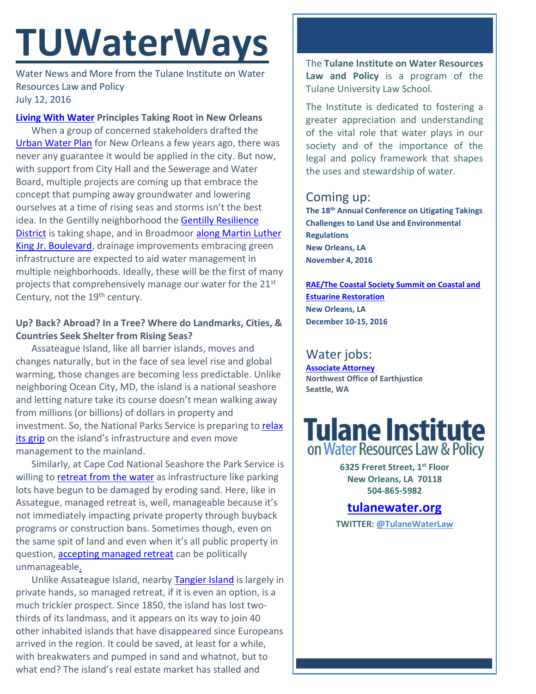# **TUWaterWays**

Water News and More from the Tulane Institute on Water Resources Law and Policy July 12, 2016

#### **Living [With Water](http://livingwithwater.com/) Principles Taking Root in New Orleans**

When a group of concerned stakeholders drafted the [Urban Water Plan](http://livingwithwater.com/blog/urban_water_plan/about/) for New Orleans a few years ago, there was never any guarantee it would be applied in the city. But now, with support from City Hall and the Sewerage and Water Board, multiple projects are coming up that embrace the concept that pumping away groundwater and lowering ourselves at a time of rising seas and storms isn't the best idea. In the Gentilly neighborhood the Gentilly Resilience [District](http://www.theatlantic.com/magazine/archive/2016/07/new-orleans-learns-to-love-water/485603/) is taking shape, and in Broadmoor [along Martin Luther](http://uptownmessenger.com/2016/07/51-million-drainage-project-planned-in-central-city/)  [King Jr. Boulevard,](http://uptownmessenger.com/2016/07/51-million-drainage-project-planned-in-central-city/) drainage improvements embracing green infrastructure are expected to aid water management in multiple neighborhoods. Ideally, these will be the first of many projects that comprehensively manage our water for the 21st Century, not the  $19<sup>th</sup>$  century.

#### **Up? Back? Abroad? In a Tree? Where do Landmarks, Cities, & Countries Seek Shelter from Rising Seas?**

Assateague Island, like all barrier islands, moves and changes naturally, but in the face of sea level rise and global warming, those changes are becoming less predictable. Unlike neighboring Ocean City, MD, the island is a national seashore and letting nature take its course doesn't mean walking away from millions (or billions) of dollars in property and investment. So, the National Parks Service is preparing to relax [its grip](http://www.baltimoresun.com/news/maryland/bs-md-assateague-future-20160702-story.html) on the island's infrastructure and even move management to the mainland.

Similarly, at Cape Cod National Seashore the Park Service is willing to [retreat from the water](http://www.nytimes.com/2016/07/07/us/at-a-cape-cod-landmark-a-strategic-retreat-from-the-ocean.html?_r=1) as infrastructure like parking lots have begun to be damaged by eroding sand. Here, like in Assategue, managed retreat is, well, manageable because it's not immediately impacting private property through buyback programs or construction bans. Sometimes though, even on the same spit of land and even when it's all public property in question, [accepting managed retreat](http://www.capecodtimes.com/article/20150718/NEWS/150719446) can be politically unmanageabl[e.](http://www.hahastop.com/pictures/See_What_I_Did_There.jpg)

Unlike Assateague Island, nearby [Tangier Island](http://www.nytimes.com/2016/07/10/magazine/should-the-united-states-save-tangier-island-from-oblivion.html?_r=0) is largely in private hands, so managed retreat, if it is even an option, is a much trickier prospect. Since 1850, the island has lost twothirds of its landmass, and it appears on its way to join 40 other inhabited islands that have disappeared since Europeans arrived in the region. It could be saved, at least for a while, with breakwaters and pumped in sand and whatnot, but to what end? The island's real estate market has stalled and

The **Tulane Institute on Water Resources Law and Policy** is a program of the Tulane University Law School.

The Institute is dedicated to fostering a greater appreciation and understanding of the vital role that water plays in our society and of the importance of the legal and policy framework that shapes the uses and stewardship of water.

## Coming up:

**The 18th Annual Conference on Litigating Takings Challenges to Land Use and Environmental Regulations New Orleans, LA November 4, 2016**

**[RAE/The Coastal Society Summit on Coastal and](https://www.estuaries.org/images/NOLA_2016/2016-Summit-CFP_FINAL-011516.pdf)  [Estuarine Restoration](https://www.estuaries.org/images/NOLA_2016/2016-Summit-CFP_FINAL-011516.pdf) New Orleans, LA December 10-15, 2016**

# Water jobs:

**[Associate Attorney](http://tulanewater.us11.list-manage1.com/track/click?u=b87c517a041f161e5ba9b4abd&id=93be59c274&e=1061668570) Northwest Office of Earthjustice Seattle, WA**

# **Tulane Institute** on Water Resources Law & Policy

**6325 Freret Street, 1st Floor New Orleans, LA 70118 504-865-5982** 

## **[tulanewater.org](file:///C:/Users/waterlaw/Downloads/tulanewater.org)**

**TWITTER: [@TulaneWaterLaw](http://www.twitter.com/TulaneWaterLaw)**